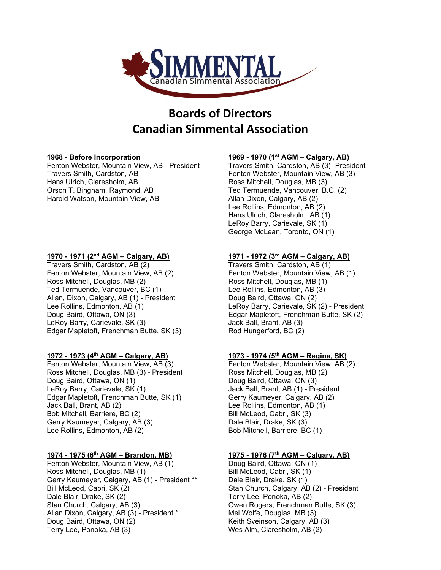

## **Boards of Directors Canadian Simmental Association**

Travers Smith, Cardston, AB Travers Smith, Cardston, AB Hans Ulrich, Claresholm, AB Ross Mitchell, Douglas, MB (3)<br>Ted Termuende, Vancouver, B. Harold Watson, Mountain View, AB Allan Dixon, Calgary, AB (2)

# **1970 - 1971 (2nd AGM – Calgary, AB) 1971 - 1972 (3rd AGM – Calgary, AB)**

Travers Smith, Cardston, AB (2) Fenton Webster, Mountain View, AB (2) Fenton Webster, Mountain View, AB (1) Ross Mitchell, Douglas, MB (2) Ross Mitchell, Douglas, MB (1)<br>Ted Termuende, Vancouver, BC (1) Ree Rollins, Edmonton, AB (3) Ted Termuende, Vancouver, BC (1) Lee Rollins, Edmonton, AB (<br>Allan, Dixon, Calgary, AB (1) - President Doug Baird, Ottawa, ON (2) Allan, Dixon, Calgary, AB (1) - President LeRoy Barry, Carievale, SK (3) Carry Musculinus Jack Ball, Brant, AB (3) Edgar Mapletoft, Frenchman Butte, SK (3) Rod Hungerford, BC (2)

**1972 - 1973 (4th AGM – Calgary, AB) 1973 - 1974 (5th AGM – Regina, SK)** Ross Mitchell, Douglas, MB (3) - President Doug Baird, Ottawa, ON (1) Doug Baird, Ottawa, ON (3) Edgar Mapletoft, Frenchman Butte, SK (1) Gerry Kaumeyer, Calgary, AB (2) Jack Ball, Brant, AB (2) Lee Rollins, Edmonton, AB (1) Bob Mitchell, Barriere, BC (2) Bill McLeod, Cabri, SK (3) Gerry Kaumeyer, Calgary, AB (3) Dale Blair, Drake, SK (3) Lee Rollins, Edmonton, AB (2) Bob Mitchell, Barriere, BC (1)

Fenton Webster, Mountain View, AB (1) Ross Mitchell, Douglas, MB (1) Bill McLeod, Cabri, SK (1) Gerry Kaumeyer, Calgary, AB (1) - President \*\* Dale Blair, Drake, SK (1) Dale Blair, Drake, SK (2) Terry Lee, Ponoka, AB (2) Stan Church, Calgary, AB (3) Owen Rogers, Frenchman Butte, SK (3) Allan Dixon, Calgary, AB (3) - President \* Mel Wolfe, Douglas, MB (3) Doug Baird, Ottawa, ON (2) The State of Keith Sveinson, Calgary, AB (3) Terry Lee, Ponoka, AB (3) Wes Alm, Claresholm, AB (2)

# **1968 - Before Incorporation 1969 - 1970 (1st AGM – Calgary, AB)**

Travers Smith, Cardston, AB (3)- President Ted Termuende, Vancouver, B.C. (2) Lee Rollins, Edmonton, AB (2) Hans Ulrich, Claresholm, AB (1) LeRoy Barry, Carievale, SK (1) George McLean, Toronto, ON (1)

Lee Rollins, Edmonton, AB (1)  $\qquad \qquad$  LeRoy Barry, Carievale, SK (2) - President Doug Baird, Ottawa, ON (3)  $\qquad \qquad$  Edgar Mapletoft, Frenchman Butte, SK (2) Edgar Mapletoft, Frenchman Butte, SK (2)

Fenton Webster, Mountain View, AB (2)<br>Ross Mitchell, Douglas, MB (2) Jack Ball, Brant, AB (1) - President

# **1974 - 1975 (6th AGM – Brandon, MB) 1975 - 1976 (7th AGM – Calgary, AB)**

Stan Church, Calgary, AB (2) - President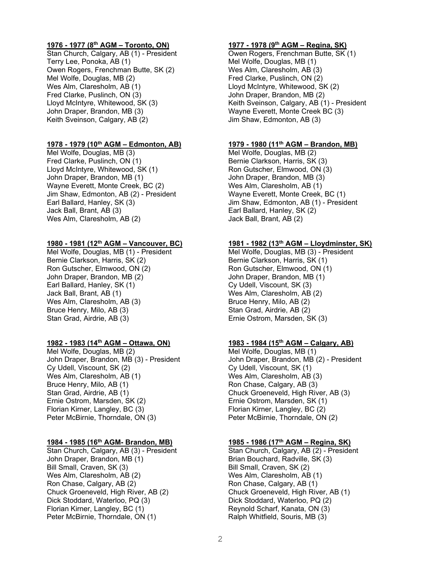## **1976 - 1977 (8th AGM – Toronto, ON) 1977 - 1978 (9th AGM – Regina, SK)**

Stan Church, Calgary, AB (1) - President **Owen Rogers, Frenchman Butte, SK (1)** Terry Lee, Ponoka, AB (1) Terry Lee, Ponoka, AB (1) Owen Rogers, Frenchman Butte, SK (2) Wes Alm, Claresholm, AB (3) Mel Wolfe, Douglas, MB (2) The Second Level of Pred Clarke, Puslinch, ON (2) Wes Alm, Claresholm, AB (1)  $\qquad \qquad$  Lloyd McIntyre, Whitewood, SK (2)<br>Fred Clarke, Puslinch, ON (3)  $\qquad \qquad$  John Draper, Brandon, MB (2) Fred Clarke, Puslinch, ON (3) <br>
Lloyd McIntyre, Whitewood, SK (3) Keith Sveinson, Calgary, AB (1 John Draper, Brandon, MB (3) Wayne Everett, Monte Creek BC (3) Keith Sveinson, Calgary, AB (2)  $\qquad \qquad$  Jim Shaw, Edmonton, AB (3)

## **1978 - 1979 (10th AGM – Edmonton, AB) 1979 - 1980 (11th AGM – Brandon, MB)**

Mel Wolfe, Douglas, MB (3) Mel Wolfe, Douglas, MB (2) Fred Clarke, Puslinch, ON (1) Bernie Clarkson, Harris, SK (3) Lloyd McIntyre, Whitewood, SK (1) Ron Gutscher, Elmwood, ON (3) John Draper, Brandon, MB (1) John Draper, Brandon, MB (3) Wayne Everett, Monte Creek, BC (2) Wes Alm, Claresholm, AB (1)<br>Jim Shaw, Edmonton, AB (2) - President Wayne Everett, Monte Creek, BC (1) Jim Shaw, Edmonton, AB (2) - President Earl Ballard, Hanley, SK (3) Sand American State Jim Shaw, Edmonton, AB (1) - President Jack Ball, Brant, AB (3) Earl Ballard, Hanley, SK (2) Wes Alm, Claresholm, AB (2)

## **1980 - 1981 (12th AGM – Vancouver, BC) 1981 - 1982 (13th AGM – Lloydminster, SK)**

Mel Wolfe, Douglas, MB (1) - President Mel Wolfe, Douglas, MB (3) - President Bernie Clarkson, Harris, SK (2) Bernie Clarkson, Harris, SK (1)<br>Ron Gutscher, Elmwood, ON (2) Ron Gutscher, Elmwood, ON (1 John Draper, Brandon, MB (2) John Draper, Brandon, MB (1) Earl Ballard, Hanley, SK (1) Cy Udell, Viscount, SK (3) Jack Ball, Brant, AB (1) Wes Alm, Claresholm, AB (2) Wes Alm, Claresholm, AB (3) Bruce Henry, Milo, AB (2) Bruce Henry, Milo, AB (3) Stan Grad, Airdrie, AB (2)

## **1982 - 1983 (14th AGM – Ottawa, ON) 1983 - 1984 (15th AGM – Calgary, AB)**

Mel Wolfe, Douglas, MB (2) Mel Wolfe, Douglas, MB (1) Wes Alm, Claresholm, AB (1) Wes Alm, Claresholm, AB (3) Bruce Henry, Milo, AB (1) The Ron Chase, Calgary, AB (3) Stan Grad, Airdrie, AB (1) Chuck Groeneveld, High River, AB (3) Ernie Ostrom, Marsden, SK (2) Ernie Ostrom, Marsden, SK (1) Florian Kirner, Langley, BC (3) Florian Kirner, Langley, BC (2) Peter McBirnie, Thorndale, ON (3)

Stan Church, Calgary, AB (3) - President John Draper, Brandon, MB (1) Brian Bouchard, Radville, SK (3)<br>Bill Small, Craven, SK (3) Bill Small, Craven, SK (2) Wes Alm, Claresholm, AB (2) Ron Chase, Calgary, AB (2) Ron Chase, Calgary, AB (1) Chuck Groeneveld, High River, AB (2) Chuck Groeneveld, High River, AB (1) Dick Stoddard, Waterloo, PQ (3) Dick Stoddard, Waterloo, PQ (2) Florian Kirner, Langley, BC (1) Reynold Scharf, Kanata, ON (3) Peter McBirnie, Thorndale, ON (1) The Ralph Whitfield, Souris, MB (3)

Keith Sveinson, Calgary, AB (1) - President

Ron Gutscher, Elmwood, ON (1) Ernie Ostrom, Marsden, SK (3)

John Draper, Brandon, MB (3) - President John Draper, Brandon, MB (2) - President Cy Udell, Viscount, SK (1) Cy Udell, Viscount, SK (1)

**1984 - 1985 (16th AGM- Brandon, MB) 1985 - 1986 (17th AGM – Regina, SK)** Bill Small, Craven, SK (2)<br>Wes Alm, Claresholm, AB (1)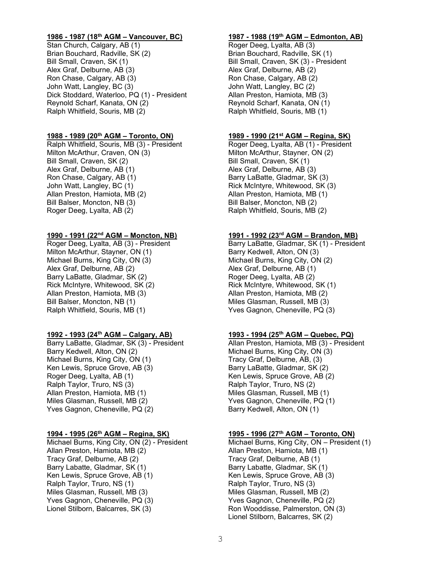Stan Church, Calgary, AB (1) Brian Bouchard, Radville, SK (2) Brian Bouchard, Radville, SK (1) Bill Small, Craven, SK (1) Bill Small, Craven, SK (3) - President Alex Graf, Delburne, AB (3) Alex Graf, Delburne, AB (2) Ron Chase, Calgary, AB (3) Ron Chase, Calgary, AB (2) John Watt, Langley, BC (3) John Watt, Langley, BC (2) Dick Stoddard, Waterloo, PQ (1) - President Reynold Scharf, Kanata, ON (2) Reynold Scharf, Kanata, ON (1) Ralph Whitfield, Souris, MB (2) Ralph Whitfield, Souris, MB (1)

# **1988 - 1989 (20th AGM – Toronto, ON) 1989 - 1990 (21st AGM – Regina, SK)**

Ralph Whitfield, Souris, MB (3) - President Milton McArthur, Craven, ON (3) Milton McArthur, Stayner, ON (2) Bill Small, Craven, SK (2) **Bill Small, Craven, SK (1)** Alex Graf, Delburne, AB (1) Alex Graf, Delburne, AB (3)<br>Ron Chase, Calgary, AB (1) Barry LaBatte, Gladmar, SK John Watt, Langley, BC (1)<br>Allan Preston, Hamiota, MB (2) Allan Preston, Hamiota, MB (1) Bill Balser, Moncton, NB (3) Bill Balser, Moncton, NB (2) Roger Deeg, Lyalta, AB (2) The Ralph Whitfield, Souris, MB (2)

# **1990 - 1991 (22nd AGM – Moncton, NB) 1991 - 1992 (23rd AGM – Brandon, MB)**

Milton McArthur, Stayner, ON (1) Barry Kedwell, Alton, ON (3) Michael Burns, King City, ON (3) Michael Burns, King City, ON (2)<br>Alex Graf, Delburne, AB (2) Alex Graf, Delburne, AB (1) Barry LaBatte, Gladmar, SK (2) The Roger Deeg, Lyalta, AB (2) Rick McIntyre, Whitewood, SK (2) Rick McIntyre, Whitewood, SK (1) Allan Preston, Hamiota, MB (3) Allan Preston, Hamiota, MB (2) Bill Balser, Moncton, NB (1) The Miles Glasman, Russell, MB (3) Ralph Whitfield, Souris, MB (1) Yves Gagnon, Cheneville, PQ (3)

Barry LaBatte, Gladmar, SK (3) - President Barry Kedwell, Alton, ON (2) The Michael Burns, King City, ON (3) Michael Burns, King City, ON (1) Tracy Graf, Delburne, AB, (3)<br>Ken Lewis, Spruce Grove, AB (3) The Barry LaBatte, Gladmar, SK (2) Ken Lewis, Spruce Grove, AB (3) Roger Deeg, Lyalta, AB (1) The Controller Controller Ken Lewis, Spruce Grove, AB (2) Ralph Taylor, Truro, NS (3) Ralph Taylor, Truro, NS (2) Allan Preston, Hamiota, MB (1) Miles Glasman, Russell, MB (1) Miles Glasman, Russell, MB (2) Yves Gagnon, Cheneville, PQ (1) Yves Gagnon, Cheneville, PQ (2) Barry Kedwell, Alton, ON (1)

Allan Preston, Hamiota, MB (2) Allan Preston, Hamiota, MB (1)<br>Tracy Graf, Delburne, AB (2) Allan Preston, Tracy Graf, Delburne, AB (1) Tracy Graf, Delburne, AB (2)<br>Barry Labatte, Gladmar, SK (1) Ken Lewis, Spruce Grove, AB (1) Ralph Taylor, Truro, NS (1) The Ralph Taylor, Truro, NS (3) Miles Glasman, Russell, MB (3) Miles Glasman, Russell, MB (2) Yves Gagnon, Cheneville, PQ (3) Yves Gagnon, Cheneville, PQ (2) Lionel Stilborn, Balcarres, SK (3) Ron Wooddisse, Palmerston, ON (3)

# **1986 - 1987 (18th AGM – Vancouver, BC) 1987 - 1988 (19th AGM – Edmonton, AB)**

Barry LaBatte, Gladmar, SK (3) Allan Preston, Hamiota, MB (1)

Barry LaBatte, Gladmar, SK (1) - President Alex Graf, Delburne, AB (1)

# **1992 - 1993 (24th AGM – Calgary, AB) 1993 - 1994 (25th AGM – Quebec, PQ)**

## **1994 - 1995 (26th AGM – Regina, SK) 1995 - 1996 (27th AGM – Toronto, ON)**

Michael Burns, King City, ON (2) - President Michael Burns, King City, ON – President (1)<br>Allan Preston, Hamiota, MB (2) Allan Preston, Hamiota, MB (1) Barry Labatte, Gladmar, SK (1)<br>Ken Lewis, Spruce Grove, AB (3) Lionel Stilborn, Balcarres, SK (2)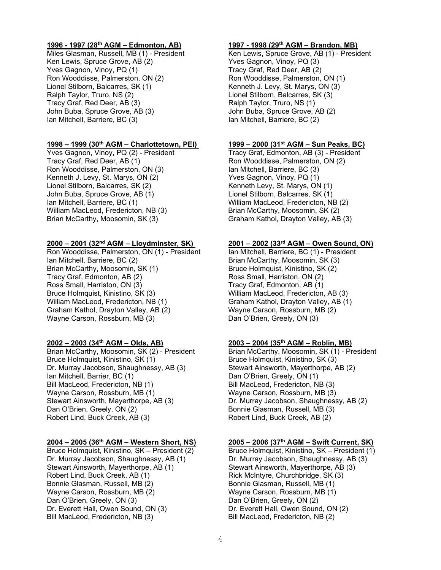## **1996 - 1997 (28th AGM – Edmonton, AB) 1997 - 1998 (29th AGM – Brandon, MB)**

Ken Lewis, Spruce Grove, AB (2) Yves Gagnon, Vinoy, PQ (3) Yves Gagnon, Vinoy, PQ (1) Tracy Graf, Red Deer, AB (2) Ron Wooddisse, Palmerston, ON (2) Ron Wooddisse, Palmerston, ON (1) Lionel Stilborn, Balcarres, SK (1)  $\overline{a}$  Kenneth J. Levy, St. Marys, ON (3)<br>Ralph Taylor, Truro, NS (2)  $\overline{a}$  Lionel Stilborn, Balcarres, SK (3) Tracy Graf, Red Deer, AB (3) Ralph Taylor, Truro, NS (1) John Buba, Spruce Grove, AB (3) John Buba, Spruce Grove, AB (2) Ian Mitchell, Barriere, BC (3) Ian Mitchell, Barriere, BC (2)

## **1998 – 1999 (30th AGM – Charlottetown, PEI) 1999 – 2000 (31st AGM – Sun Peaks, BC)**

Yves Gagnon, Vinoy, PQ (2) - President Tracy Graf, Edmonton, AB (3) - President Tracy Graf, Red Deer, AB (1) Ron Wooddisse, Palmerston, ON (2) Ron Wooddisse, Palmerston, ON (3) lan Mitchell, Barriere, BC (3)<br>Kenneth J. Levy, St. Marys, ON (2) Yves Gagnon, Vinoy, PQ (1) Kenneth J. Levy, St. Marys, ON (2) Lionel Stilborn, Balcarres, SK (2) <br>
John Buba, Spruce Grove, AB (1) And Stilborn, Balcarres, SK (1) John Buba, Spruce Grove, AB (1) Ian Mitchell, Barriere, BC (1) William MacLeod, Fredericton, NB (2) William MacLeod, Fredericton, NB (3) Brian McCarthy, Moosomin, SK (2)<br>Brian McCarthy, Moosomin, SK (3) Graham Kathol, Drayton Valley, AB

## **2000 – 2001 (32nd AGM – Lloydminster, SK) 2001 – 2002 (33rd AGM – Owen Sound, ON)**

Ron Wooddisse, Palmerston, ON (1) - President Ian Mitchell, Barriere, BC (1) - President Ian Mitchell, Barriere, BC (2) Brian McCarthy, Moosomin, SK (3)<br>Brian McCarthy, Moosomin, SK (1) Bruce Holmquist, Kinistino, SK (2) Brian McCarthy, Moosomin, SK (1) Tracy Graf, Edmonton, AB (2) Ross Small, Harriston, ON (2) Ross Small, Harriston, ON (3) Tracy Graf, Edmonton, AB (1) Bruce Holmquist, Kinistino, SK (3) William MacLeod, Fredericton, AB (3) William MacLeod, Fredericton, NB (1) Graham Kathol, Drayton Valley, AB (1) Graham Kathol, Drayton Valley, AB (2) Wayne Carson, Rossburn, MB (2) Wayne Carson, Rossburn, MB (3)

Bruce Holmquist, Kinistino, SK (1) Bruce Holmquist, Kinistino, SK (3)<br>Dr. Murray Jacobson, Shaughnessy, AB (3) Stewart Ainsworth, Mayerthorpe, AB (2) Dr. Murray Jacobson, Shaughnessy, AB (3) Ian Mitchell, Barrier, BC (1) Can Dan O'Brien, Greely, ON (1) Bill MacLeod, Fredericton, NB (1) Bill MacLeod, Fredericton, NB (3) Wayne Carson, Rossburn, MB (1) Wayne Carson, Rossburn, MB (3)<br>Stewart Ainsworth, Mayerthorpe, AB (3) Dr. Murray Jacobson, Shaughness Dan O'Brien, Greely, ON (2) Bonnie Glasman, Russell, MB (3) Robert Lind, Buck Creek, AB (3) Robert Lind, Buck Creek, AB (2)

Bruce Holmquist, Kinistino, SK – President (2) Dr. Murray Jacobson, Shaughnessy, AB (1) Dr. Murray Jacobson, Shaughnessy, AB (3)<br>Stewart Ainsworth, Mayerthorpe, AB (1) Stewart Ainsworth, Mayerthorpe, AB (3) Stewart Ainsworth, Mayerthorpe, AB (1)<br>Robert Lind, Buck Creek, AB (1) Bonnie Glasman, Russell, MB (2) Bonnie Glasman, Russell, MB (1) Wayne Carson, Rossburn, MB (2) Wayne Carson, Rossburn, MB (1) Dan O'Brien, Greely, ON (3) Dan O'Brien, Greely, ON (2) Dr. Everett Hall, Owen Sound, ON (3) Dr. Everett Hall, Owen Sound, ON (2) Bill MacLeod, Fredericton, NB (3) Bill MacLeod, Fredericton, NB (2)

Miles Glasman, Russell, MB (1) - President Ken Lewis, Spruce Grove, AB (1) - President Lionel Stilborn, Balcarres, SK (3)

Graham Kathol, Drayton Valley, AB (3)

## **2002 – 2003 (34th AGM – Olds, AB) 2003 – 2004 (35th AGM – Roblin, MB)**

Brian McCarthy, Moosomin, SK (2) - President Brian McCarthy, Moosomin, SK (1) - President Dr. Murray Jacobson, Shaughnessy, AB (2)

# **2004 – 2005 (36th AGM – Western Short, NS) 2005 – 2006 (37th AGM – Swift Current, SK)**

Rick McIntyre, Churchbridge, SK (3)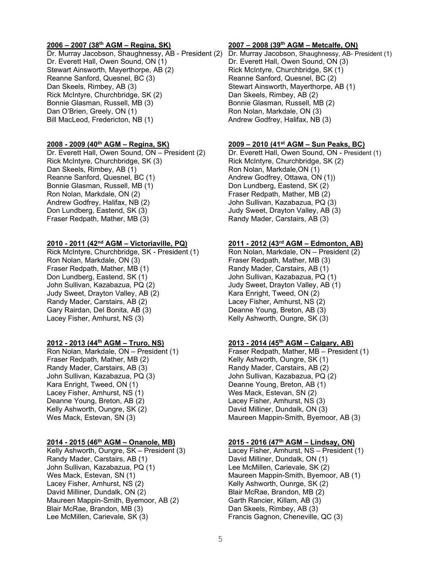Dr. Murray Jacobson, Shaughnessy, AB - President (2) Dr. Murray Jacobson, Shaughnessy, AB- President (1) Dr. Everett Hall, Owen Sound, ON (1) Dr. Everett Hall, Owen Sound, ON (3) Stewart Ainsworth, Mayerthorpe, AB (2) Rick McIntyre, Churchbridge, SK (1) Reanne Sanford, Quesnel, BC (3) Reanne Sanford, Quesnel, BC (2) Dan Skeels, Rimbey, AB (3) Stewart Ainsworth, Mayerthorpe, AB (1) Rick McIntyre, Churchbridge, SK (2) Dan Skeels, Rimbey, AB (2) Bonnie Glasman, Russell, MB (3) Bonnie Glasman, Russell, MB (2) Dan O'Brien, Greely, ON (1) Bill MacLeod, Fredericton, NB (1) Andrew Godfrey, Halifax, NB (3)

Rick McIntyre, Churchbridge, SK (3) Rick McIntyre, Churchbridge, SK (2) Dan Skeels, Rimbey, AB (1) Ron Nolan, Markdale,ON (1) Bonnie Glasman, Russell, MB (1) Don Lundberg, Eastend, SK (2)<br>Ron Nolan, Markdale, ON (2) Fraser Redpath, Mather, MB (2) Andrew Godfrey, Halifax, NB (2) John Sullivan, Kazabazua, PQ (3) Don Lundberg, Eastend, SK (3) Judy Sweet, Drayton Valley, AB (3) Fraser Redpath, Mather, MB (3)

## **2010 - 2011 (42nd AGM – Victoriaville, PQ) 2011 - 2012 (43rd AGM – Edmonton, AB)**

Rick McIntyre, Churchbridge, SK - President (1) Ron Nolan, Markdale, ON – President (2) Ron Nolan, Markdale, ON (3) Fraser Redpath, Mather, MB (3)<br>Fraser Redpath, Mather, MB (1) Randy Mader, Carstairs, AB (1) Fraser Redpath, Mather, MB (1) Don Lundberg, Eastend, SK (1) John Sullivan, Kazabazua, PQ (1) John Sullivan, Kazabazua, PQ (2) Judy Sweet, Drayton Valley, AB (1) Judy Sweet, Drayton Valley, AB (2) Kara Enright, Tweed, ON (2) Randy Mader, Carstairs, AB (2) Lacey Fisher, Amhurst, NS (2) Gary Rairdan, Del Bonita, AB (3) Deanne Young, Breton, AB (3) Lacey Fisher, Amhurst, NS (3) The Realty Ashworth, Oungre, SK (3)

Fraser Redpath, Mather, MB (2) Kelly Ashworth, Oungre, SK (1)<br>Randy Mader, Carstairs, AB (3) Kandy Mader, Carstairs, AB (2) John Sullivan, Kazabazua, PQ (3) John Sullivan, Kazabazua, PQ (2) Kara Enright, Tweed, ON (1) Deanne Young, Breton, AB (1) Lacey Fisher, Amhurst, NS (1) Nes Mack, Estevan, SN (2) Deanne Young, Breton, AB (2) Lacey Fisher, Amhurst, NS (3) Kelly Ashworth, Oungre, SK (2) Channel David Milliner, Dundalk, ON (3)

Kelly Ashworth, Oungre, SK – President (3) Randy Mader, Carstairs, AB (1) David Milliner, Dundalk, ON (1) John Sullivan, Kazabazua, PQ (1) Lee McMillen, Carievale, SK (2) Wes Mack, Estevan, SN (1) The Maureen Mappin-Smith, Byemoor, AB (1) Lacey Fisher, Amhurst, NS (2) Kelly Ashworth, Ounrge, SK (2) David Milliner, Dundalk, ON (2) **Blair McRae, Brandon, MB (2)** Blair McRae, Brandon, MB (2) Maureen Mappin-Smith, Byemoor, AB (2) Garth Rancier, Killam, AB (3) Blair McRae, Brandon, MB (3) Dan Skeels, Rimbey, AB (3) Lee McMillen, Carievale, SK (3) Francis Gagnon, Cheneville, QC (3)

## **2006 – 2007 (38th AGM – Regina, SK) 2007 – 2008 (39th AGM – Metcalfe, ON)**

## **2008 - 2009 (40th AGM – Regina, SK) 2009 – 2010 (41st AGM – Sun Peaks, BC)**

Dr. Everett Hall, Owen Sound, ON – President (2) Dr. Everett Hall, Owen Sound, ON - President (1) Andrew Godfrey, Ottawa, ON (1)) Fraser Redpath, Mather, MB (2)

## **2012 - 2013 (44th AGM – Truro, NS) 2013 - 2014 (45th AGM – Calgary, AB)**

Ron Nolan, Markdale, ON – President (1) Fraser Redpath, Mather, MB – President (1) Randy Mader, Carstairs, AB (2) Wes Mack, Estevan, SN (3) Maureen Mappin-Smith, Byemoor, AB (3)

**2014 - 2015 (46th AGM – Onanole, MB) 2015 - 2016 (47th AGM – Lindsay, ON)**